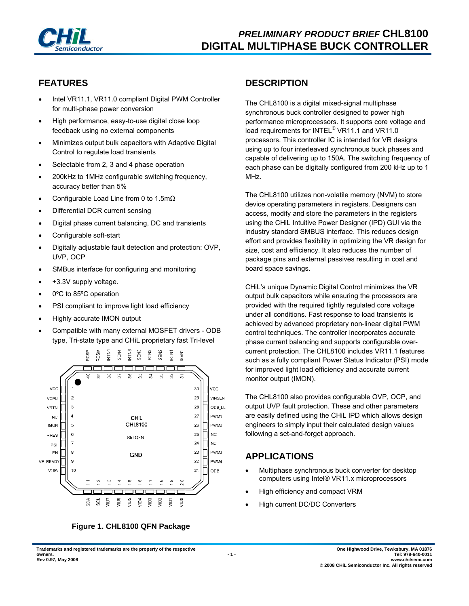

## **FEATURES**

- Intel VR11.1, VR11.0 compliant Digital PWM Controller for multi-phase power conversion
- High performance, easy-to-use digital close loop feedback using no external components
- Minimizes output bulk capacitors with Adaptive Digital Control to regulate load transients
- Selectable from 2, 3 and 4 phase operation
- 200kHz to 1MHz configurable switching frequency, accuracy better than 5%
- Configurable Load Line from 0 to 1.5mΩ
- Differential DCR current sensing
- Digital phase current balancing, DC and transients
- Configurable soft-start
- Digitally adjustable fault detection and protection: OVP, UVP, OCP
- SMBus interface for configuring and monitoring
- +3.3V supply voltage.
- 0°C to 85°C operation
- PSI compliant to improve light load efficiency
- Highly accurate IMON output
- Compatible with many external MOSFET drivers ODB type, Tri-state type and CHiL proprietary fast Tri-level





## **DESCRIPTION**

The CHL8100 is a digital mixed-signal multiphase synchronous buck controller designed to power high performance microprocessors. It supports core voltage and load requirements for INTEL<sup>®</sup> VR11.1 and VR11.0 processors. This controller IC is intended for VR designs using up to four interleaved synchronous buck phases and capable of delivering up to 150A. The switching frequency of each phase can be digitally configured from 200 kHz up to 1 MHz.

The CHL8100 utilizes non-volatile memory (NVM) to store device operating parameters in registers. Designers can access, modify and store the parameters in the registers using the CHiL Intuitive Power Designer (IPD) GUI via the industry standard SMBUS interface. This reduces design effort and provides flexibility in optimizing the VR design for size, cost and efficiency. It also reduces the number of package pins and external passives resulting in cost and board space savings.

CHiL's unique Dynamic Digital Control minimizes the VR output bulk capacitors while ensuring the processors are provided with the required tightly regulated core voltage under all conditions. Fast response to load transients is achieved by advanced proprietary non-linear digital PWM control techniques. The controller incorporates accurate phase current balancing and supports configurable overcurrent protection. The CHL8100 includes VR11.1 features such as a fully compliant Power Status Indicator (PSI) mode for improved light load efficiency and accurate current monitor output (IMON).

The CHL8100 also provides configurable OVP, OCP, and output UVP fault protection. These and other parameters are easily defined using the CHiL IPD which allows design engineers to simply input their calculated design values following a set-and-forget approach.

## **APPLICATIONS**

- Multiphase synchronous buck converter for desktop computers using Intel® VR11.x microprocessors
- High efficiency and compact VRM
- High current DC/DC Converters